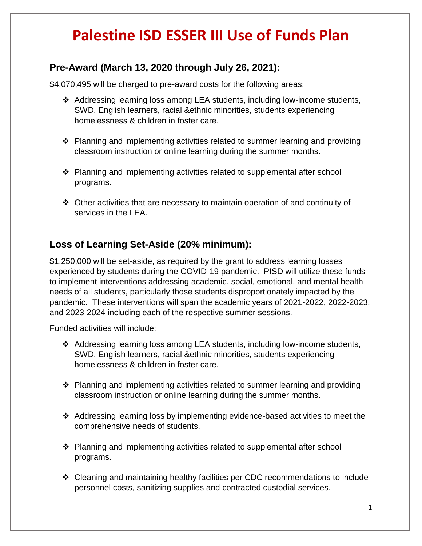## **Palestine ISD ESSER III Use of Funds Plan**

## **Pre-Award (March 13, 2020 through July 26, 2021):**

\$4,070,495 will be charged to pre-award costs for the following areas:

- ❖ Addressing learning loss among LEA students, including low-income students, SWD, English learners, racial &ethnic minorities, students experiencing homelessness & children in foster care.
- ❖ Planning and implementing activities related to summer learning and providing classroom instruction or online learning during the summer months.
- ❖ Planning and implementing activities related to supplemental after school programs.
- ❖ Other activities that are necessary to maintain operation of and continuity of services in the LEA.

## **Loss of Learning Set-Aside (20% minimum):**

\$1,250,000 will be set-aside, as required by the grant to address learning losses experienced by students during the COVID-19 pandemic. PISD will utilize these funds to implement interventions addressing academic, social, emotional, and mental health needs of all students, particularly those students disproportionately impacted by the pandemic. These interventions will span the academic years of 2021-2022, 2022-2023, and 2023-2024 including each of the respective summer sessions.

Funded activities will include:

- ❖ Addressing learning loss among LEA students, including low-income students, SWD, English learners, racial &ethnic minorities, students experiencing homelessness & children in foster care.
- ❖ Planning and implementing activities related to summer learning and providing classroom instruction or online learning during the summer months.
- ❖ Addressing learning loss by implementing evidence-based activities to meet the comprehensive needs of students.
- ❖ Planning and implementing activities related to supplemental after school programs.
- ❖ Cleaning and maintaining healthy facilities per CDC recommendations to include personnel costs, sanitizing supplies and contracted custodial services.